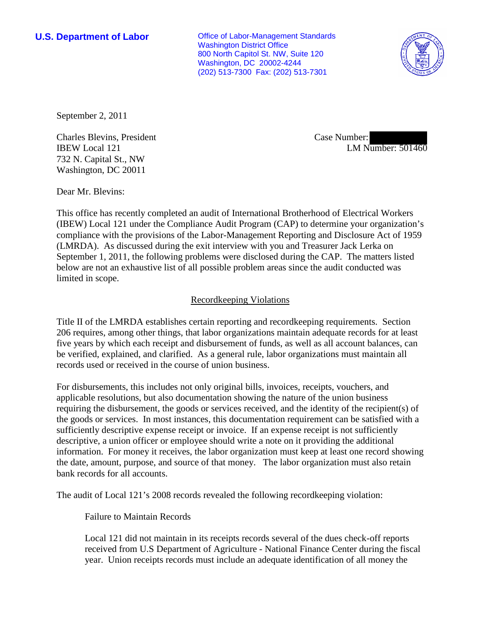**U.S. Department of Labor Conservative Conservative Conservative Conservative Conservative Conservative Conservative Conservative Conservative Conservative Conservative Conservative Conservative Conservative Conservative** Washington District Office 800 North Capitol St. NW, Suite 120 Washington, DC 20002-4244 (202) 513-7300 Fax: (202) 513-7301



September 2, 2011

Charles Blevins, President IBEW Local 121 732 N. Capital St., NW Washington, DC 20011

Case Number: LM Number: 501460

Dear Mr. Blevins:

This office has recently completed an audit of International Brotherhood of Electrical Workers (IBEW) Local 121 under the Compliance Audit Program (CAP) to determine your organization's compliance with the provisions of the Labor-Management Reporting and Disclosure Act of 1959 (LMRDA). As discussed during the exit interview with you and Treasurer Jack Lerka on September 1, 2011, the following problems were disclosed during the CAP. The matters listed below are not an exhaustive list of all possible problem areas since the audit conducted was limited in scope.

## Recordkeeping Violations

Title II of the LMRDA establishes certain reporting and recordkeeping requirements. Section 206 requires, among other things, that labor organizations maintain adequate records for at least five years by which each receipt and disbursement of funds, as well as all account balances, can be verified, explained, and clarified. As a general rule, labor organizations must maintain all records used or received in the course of union business.

For disbursements, this includes not only original bills, invoices, receipts, vouchers, and applicable resolutions, but also documentation showing the nature of the union business requiring the disbursement, the goods or services received, and the identity of the recipient(s) of the goods or services. In most instances, this documentation requirement can be satisfied with a sufficiently descriptive expense receipt or invoice. If an expense receipt is not sufficiently descriptive, a union officer or employee should write a note on it providing the additional information. For money it receives, the labor organization must keep at least one record showing the date, amount, purpose, and source of that money. The labor organization must also retain bank records for all accounts.

The audit of Local 121's 2008 records revealed the following recordkeeping violation:

Failure to Maintain Records

Local 121 did not maintain in its receipts records several of the dues check-off reports received from U.S Department of Agriculture - National Finance Center during the fiscal year. Union receipts records must include an adequate identification of all money the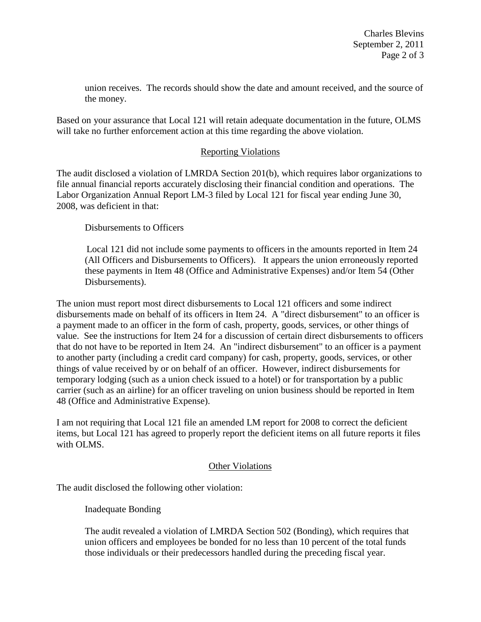union receives. The records should show the date and amount received, and the source of the money.

Based on your assurance that Local 121 will retain adequate documentation in the future, OLMS will take no further enforcement action at this time regarding the above violation.

## Reporting Violations

The audit disclosed a violation of LMRDA Section 201(b), which requires labor organizations to file annual financial reports accurately disclosing their financial condition and operations. The Labor Organization Annual Report LM-3 filed by Local 121 for fiscal year ending June 30, 2008, was deficient in that:

Disbursements to Officers

Local 121 did not include some payments to officers in the amounts reported in Item 24 (All Officers and Disbursements to Officers). It appears the union erroneously reported these payments in Item 48 (Office and Administrative Expenses) and/or Item 54 (Other Disbursements).

The union must report most direct disbursements to Local 121 officers and some indirect disbursements made on behalf of its officers in Item 24. A "direct disbursement" to an officer is a payment made to an officer in the form of cash, property, goods, services, or other things of value. See the instructions for Item 24 for a discussion of certain direct disbursements to officers that do not have to be reported in Item 24. An "indirect disbursement" to an officer is a payment to another party (including a credit card company) for cash, property, goods, services, or other things of value received by or on behalf of an officer. However, indirect disbursements for temporary lodging (such as a union check issued to a hotel) or for transportation by a public carrier (such as an airline) for an officer traveling on union business should be reported in Item 48 (Office and Administrative Expense).

I am not requiring that Local 121 file an amended LM report for 2008 to correct the deficient items, but Local 121 has agreed to properly report the deficient items on all future reports it files with OLMS.

## **Other Violations**

The audit disclosed the following other violation:

Inadequate Bonding

The audit revealed a violation of LMRDA Section 502 (Bonding), which requires that union officers and employees be bonded for no less than 10 percent of the total funds those individuals or their predecessors handled during the preceding fiscal year.